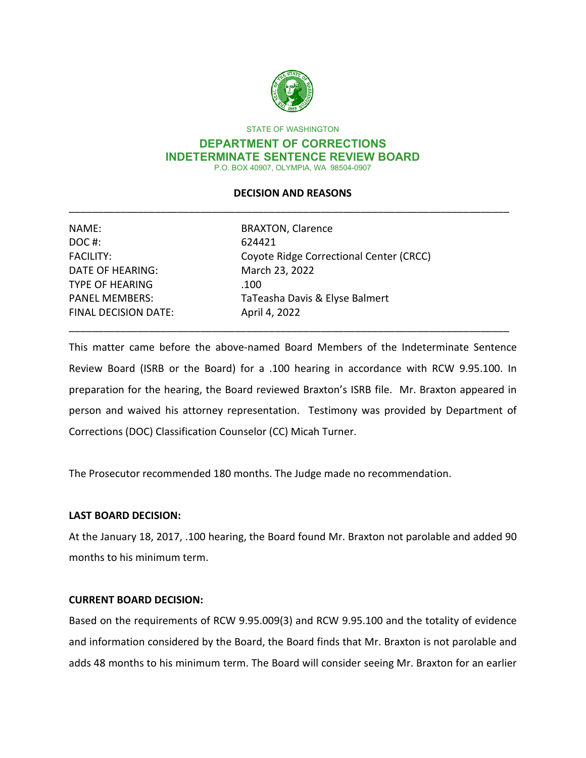

STATE OF WASHINGTON

#### **DEPARTMENT OF CORRECTIONS INDETERMINATE SENTENCE REVIEW BOARD** P.O. BOX 40907, OLYMPIA, WA 98504-0907

# **DECISION AND REASONS** \_\_\_\_\_\_\_\_\_\_\_\_\_\_\_\_\_\_\_\_\_\_\_\_\_\_\_\_\_\_\_\_\_\_\_\_\_\_\_\_\_\_\_\_\_\_\_\_\_\_\_\_\_\_\_\_\_\_\_\_\_\_\_\_\_\_\_\_\_\_\_\_\_\_\_\_\_

| NAME:                       | <b>BRAXTON, Clarence</b>                |
|-----------------------------|-----------------------------------------|
| DOC#:                       | 624421                                  |
| <b>FACILITY:</b>            | Coyote Ridge Correctional Center (CRCC) |
| <b>DATE OF HEARING:</b>     | March 23, 2022                          |
| <b>TYPE OF HEARING</b>      | .100                                    |
| <b>PANEL MEMBERS:</b>       | TaTeasha Davis & Elyse Balmert          |
| <b>FINAL DECISION DATE:</b> | April 4, 2022                           |

This matter came before the above-named Board Members of the Indeterminate Sentence Review Board (ISRB or the Board) for a .100 hearing in accordance with RCW 9.95.100. In preparation for the hearing, the Board reviewed Braxton's ISRB file. Mr. Braxton appeared in person and waived his attorney representation. Testimony was provided by Department of Corrections (DOC) Classification Counselor (CC) Micah Turner.

\_\_\_\_\_\_\_\_\_\_\_\_\_\_\_\_\_\_\_\_\_\_\_\_\_\_\_\_\_\_\_\_\_\_\_\_\_\_\_\_\_\_\_\_\_\_\_\_\_\_\_\_\_\_\_\_\_\_\_\_\_\_\_\_\_\_\_\_\_\_\_\_\_\_\_\_\_

The Prosecutor recommended 180 months. The Judge made no recommendation.

## **LAST BOARD DECISION:**

At the January 18, 2017, .100 hearing, the Board found Mr. Braxton not parolable and added 90 months to his minimum term.

## **CURRENT BOARD DECISION:**

Based on the requirements of RCW 9.95.009(3) and RCW 9.95.100 and the totality of evidence and information considered by the Board, the Board finds that Mr. Braxton is not parolable and adds 48 months to his minimum term. The Board will consider seeing Mr. Braxton for an earlier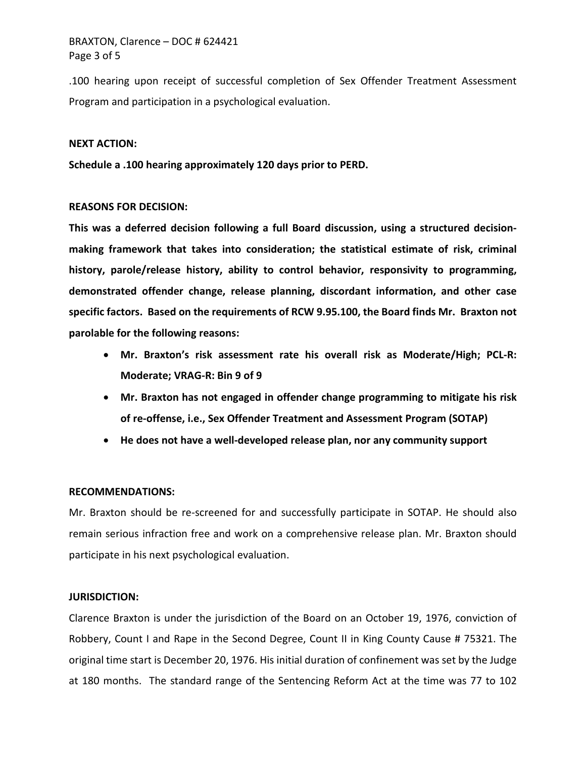# BRAXTON, Clarence – DOC # 624421 Page 3 of 5

.100 hearing upon receipt of successful completion of Sex Offender Treatment Assessment Program and participation in a psychological evaluation.

#### **NEXT ACTION:**

**Schedule a .100 hearing approximately 120 days prior to PERD.**

### **REASONS FOR DECISION:**

**This was a deferred decision following a full Board discussion, using a structured decisionmaking framework that takes into consideration; the statistical estimate of risk, criminal history, parole/release history, ability to control behavior, responsivity to programming, demonstrated offender change, release planning, discordant information, and other case specific factors. Based on the requirements of RCW 9.95.100, the Board finds Mr. Braxton not parolable for the following reasons:** 

- **Mr. Braxton's risk assessment rate his overall risk as Moderate/High; PCL-R: Moderate; VRAG-R: Bin 9 of 9**
- **Mr. Braxton has not engaged in offender change programming to mitigate his risk of re-offense, i.e., Sex Offender Treatment and Assessment Program (SOTAP)**
- **He does not have a well-developed release plan, nor any community support**

### **RECOMMENDATIONS:**

Mr. Braxton should be re-screened for and successfully participate in SOTAP. He should also remain serious infraction free and work on a comprehensive release plan. Mr. Braxton should participate in his next psychological evaluation.

### **JURISDICTION:**

Clarence Braxton is under the jurisdiction of the Board on an October 19, 1976, conviction of Robbery, Count I and Rape in the Second Degree, Count II in King County Cause # 75321. The original time start is December 20, 1976. His initial duration of confinement was set by the Judge at 180 months. The standard range of the Sentencing Reform Act at the time was 77 to 102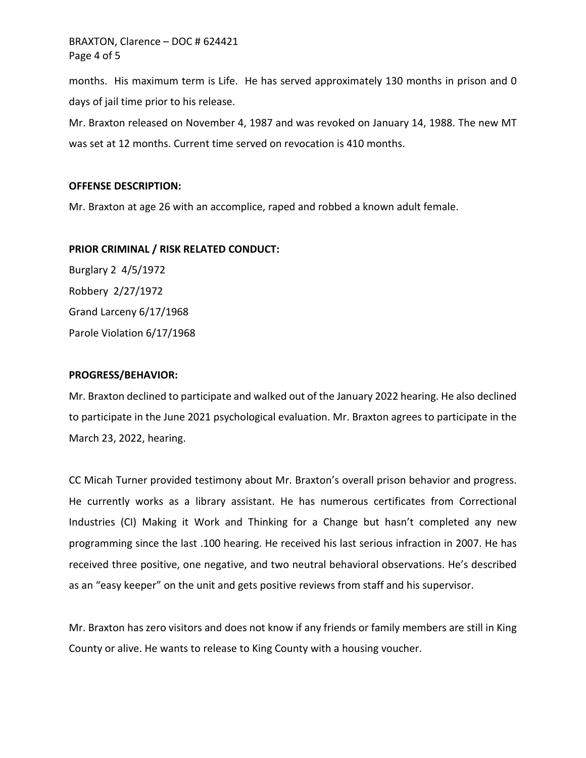BRAXTON, Clarence – DOC # 624421 Page 4 of 5

months. His maximum term is Life. He has served approximately 130 months in prison and 0 days of jail time prior to his release.

Mr. Braxton released on November 4, 1987 and was revoked on January 14, 1988. The new MT was set at 12 months. Current time served on revocation is 410 months.

#### **OFFENSE DESCRIPTION:**

Mr. Braxton at age 26 with an accomplice, raped and robbed a known adult female.

### **PRIOR CRIMINAL / RISK RELATED CONDUCT:**

Burglary 2 4/5/1972 Robbery 2/27/1972 Grand Larceny 6/17/1968 Parole Violation 6/17/1968

#### **PROGRESS/BEHAVIOR:**

Mr. Braxton declined to participate and walked out of the January 2022 hearing. He also declined to participate in the June 2021 psychological evaluation. Mr. Braxton agrees to participate in the March 23, 2022, hearing.

CC Micah Turner provided testimony about Mr. Braxton's overall prison behavior and progress. He currently works as a library assistant. He has numerous certificates from Correctional Industries (CI) Making it Work and Thinking for a Change but hasn't completed any new programming since the last .100 hearing. He received his last serious infraction in 2007. He has received three positive, one negative, and two neutral behavioral observations. He's described as an "easy keeper" on the unit and gets positive reviews from staff and his supervisor.

Mr. Braxton has zero visitors and does not know if any friends or family members are still in King County or alive. He wants to release to King County with a housing voucher.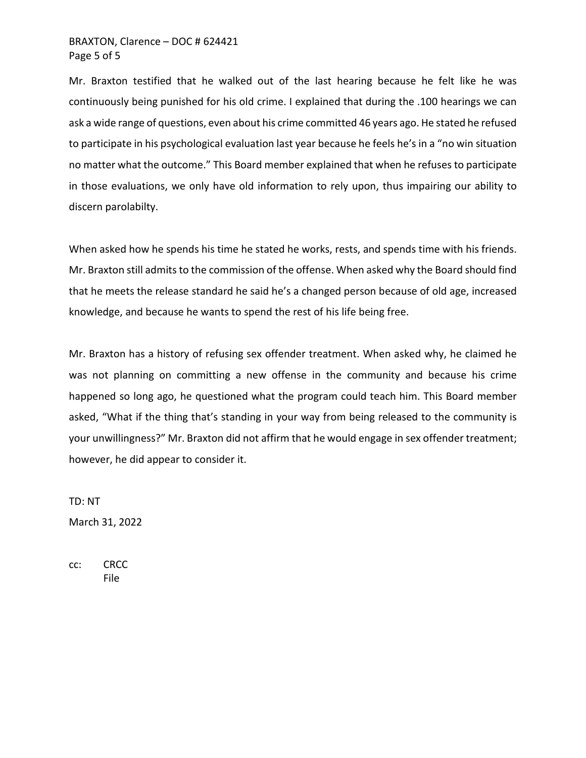# BRAXTON, Clarence – DOC # 624421 Page 5 of 5

Mr. Braxton testified that he walked out of the last hearing because he felt like he was continuously being punished for his old crime. I explained that during the .100 hearings we can ask a wide range of questions, even about his crime committed 46 years ago. He stated he refused to participate in his psychological evaluation last year because he feels he's in a "no win situation no matter what the outcome." This Board member explained that when he refuses to participate in those evaluations, we only have old information to rely upon, thus impairing our ability to discern parolabilty.

When asked how he spends his time he stated he works, rests, and spends time with his friends. Mr. Braxton still admits to the commission of the offense. When asked why the Board should find that he meets the release standard he said he's a changed person because of old age, increased knowledge, and because he wants to spend the rest of his life being free.

Mr. Braxton has a history of refusing sex offender treatment. When asked why, he claimed he was not planning on committing a new offense in the community and because his crime happened so long ago, he questioned what the program could teach him. This Board member asked, "What if the thing that's standing in your way from being released to the community is your unwillingness?" Mr. Braxton did not affirm that he would engage in sex offender treatment; however, he did appear to consider it.

TD: NT March 31, 2022

cc: CRCC File